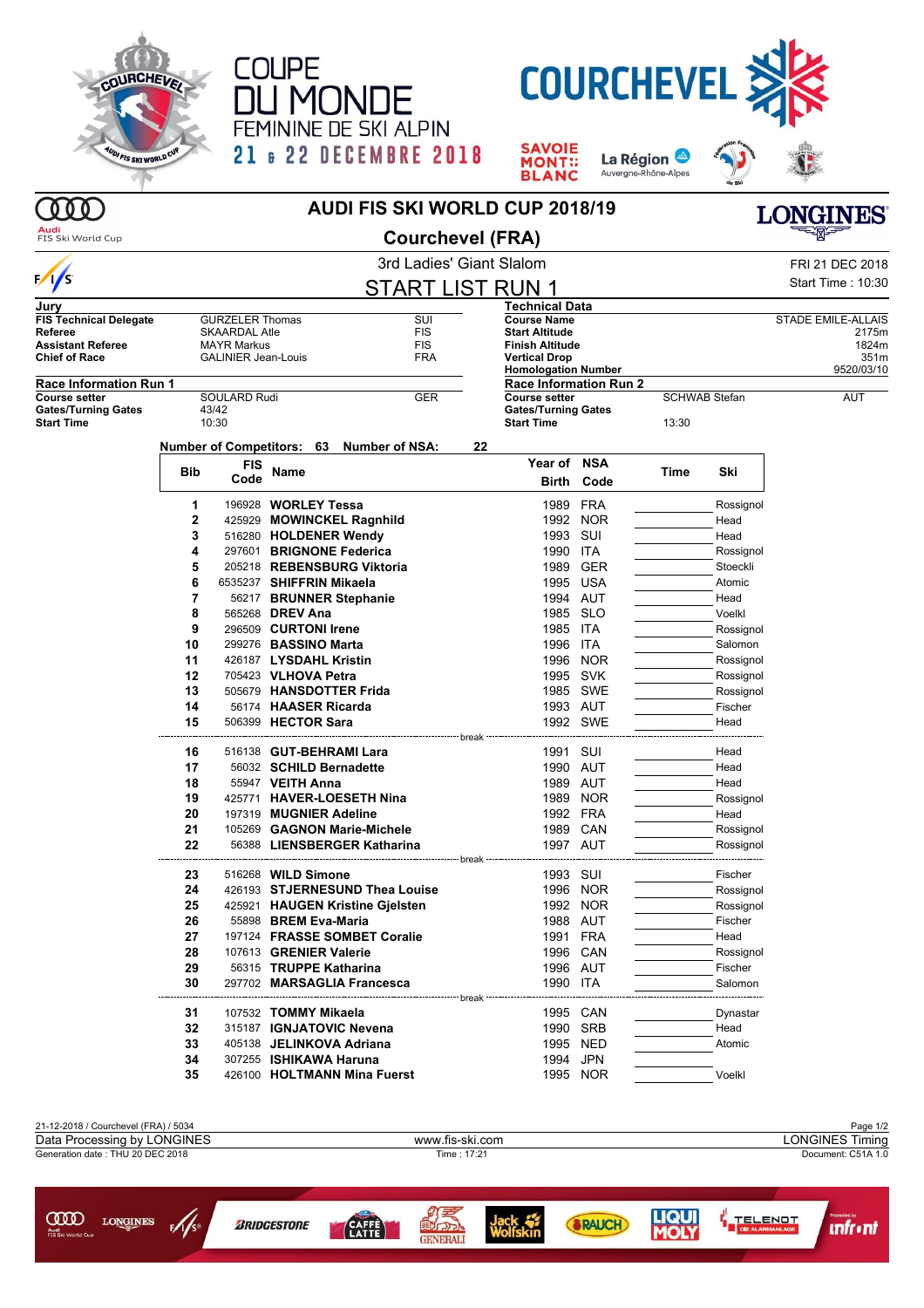





**SAVOIE**<br>MONT::<br>BLANC La Région Auvergne-Rhône-Alpes



## **AUDI FIS SKI WORLD CUP 2018/19**

**Audi**<br>FIS Ski World Cup  $\overline{\phantom{0}}$ 

000

**Courchevel (FRA)**

| .                             |       |                                  |                                          | <b>ODUI CHEVEL (LIVA)</b>                     |                                                    |          |       |                      |                           |  |
|-------------------------------|-------|----------------------------------|------------------------------------------|-----------------------------------------------|----------------------------------------------------|----------|-------|----------------------|---------------------------|--|
|                               |       | 3rd Ladies' Giant Slalom         |                                          |                                               |                                                    |          |       |                      | FRI 21 DEC 2018           |  |
| $\sqrt{s}$                    |       | <b>START LIST RUN 1</b>          |                                          |                                               |                                                    |          |       |                      |                           |  |
| Jury                          |       |                                  |                                          |                                               | Technical Data                                     |          |       |                      |                           |  |
| <b>FIS Technical Delegate</b> |       | <b>GURZELER Thomas</b>           | SUI                                      |                                               | <b>Course Name</b>                                 |          |       |                      | <b>STADE EMILE-ALLAIS</b> |  |
| Referee                       |       | <b>SKAARDAL Atle</b>             | FIS                                      |                                               | <b>Start Altitude</b>                              |          |       |                      | 2175m                     |  |
| <b>Assistant Referee</b>      |       | <b>MAYR Markus</b><br><b>FIS</b> |                                          |                                               | <b>Finish Altitude</b>                             |          |       |                      | 1824m                     |  |
| <b>Chief of Race</b>          |       | <b>GALINIER Jean-Louis</b>       | <b>FRA</b>                               |                                               | <b>Vertical Drop</b><br><b>Homologation Number</b> |          |       |                      | 351m<br>9520/03/10        |  |
| <b>Race Information Run 1</b> |       |                                  |                                          |                                               | <b>Race Information Run 2</b>                      |          |       |                      |                           |  |
| Course setter                 |       | SOULARD Rudi                     | <b>GER</b>                               |                                               | <b>Course setter</b>                               |          |       | <b>SCHWAB Stefan</b> | AUT                       |  |
| <b>Gates/Turning Gates</b>    | 43/42 |                                  |                                          |                                               | <b>Gates/Turning Gates</b>                         |          |       |                      |                           |  |
| <b>Start Time</b>             |       | 10:30                            |                                          |                                               | <b>Start Time</b>                                  |          | 13:30 |                      |                           |  |
|                               |       |                                  | Number of Competitors: 63 Number of NSA: | 22                                            |                                                    |          |       |                      |                           |  |
|                               |       | FIS                              |                                          |                                               | Year of NSA                                        |          |       |                      |                           |  |
|                               | Bib   | Code                             | Name                                     |                                               | Birth                                              | Code     | Time  | Ski                  |                           |  |
|                               | 1     |                                  | 196928 WORLEY Tessa                      |                                               |                                                    | 1989 FRA |       | Rossignol            |                           |  |
|                               | 2     |                                  | 425929 MOWINCKEL Ragnhild                |                                               |                                                    | 1992 NOR |       | Head                 |                           |  |
|                               | 3     |                                  | 516280 HOLDENER Wendy                    |                                               | 1993 SUI                                           |          |       | Head                 |                           |  |
|                               | 4     |                                  | 297601 BRIGNONE Federica                 |                                               | 1990 ITA                                           |          |       | Rossignol            |                           |  |
|                               | 5     |                                  | 205218 REBENSBURG Viktoria               |                                               | 1989                                               | GER      |       | Stoeckli             |                           |  |
|                               | 6     |                                  | 6535237 SHIFFRIN Mikaela                 |                                               |                                                    | 1995 USA |       | Atomic               |                           |  |
|                               | 7     |                                  | 56217 BRUNNER Stephanie                  |                                               |                                                    | 1994 AUT |       | Head                 |                           |  |
|                               | 8     |                                  | 565268 <b>DREV Ana</b>                   |                                               |                                                    | 1985 SLO |       | Voelkl               |                           |  |
|                               | 9     |                                  | 296509 CURTONI Irene                     |                                               | 1985 ITA                                           |          |       | Rossignol            |                           |  |
|                               | 10    |                                  | 299276 BASSINO Marta                     |                                               | 1996 ITA                                           |          |       | Salomon              |                           |  |
|                               | 11    |                                  | 426187 LYSDAHL Kristin                   |                                               |                                                    | 1996 NOR |       | Rossignol            |                           |  |
|                               | 12    |                                  | 705423 VLHOVA Petra                      |                                               |                                                    | 1995 SVK |       | Rossignol            |                           |  |
|                               | 13    |                                  | 505679 HANSDOTTER Frida                  |                                               |                                                    | 1985 SWE |       | Rossignol            |                           |  |
|                               | 14    |                                  | 56174 HAASER Ricarda                     |                                               |                                                    | 1993 AUT |       | Fischer              |                           |  |
|                               | 15    |                                  | 506399 HECTOR Sara                       |                                               |                                                    | 1992 SWE |       | Head                 |                           |  |
|                               |       |                                  |                                          | ------------------------- break ------------- |                                                    |          |       |                      |                           |  |
|                               | 16    |                                  | 516138 GUT-BEHRAMI Lara                  |                                               | 1991 SUI                                           |          |       | Head                 |                           |  |
|                               | 17    |                                  | 56032 SCHILD Bernadette                  |                                               |                                                    | 1990 AUT |       | Head                 |                           |  |
|                               | 18    |                                  | 55947 VEITH Anna                         |                                               |                                                    | 1989 AUT |       | Head                 |                           |  |
|                               | 19    |                                  | 425771 HAVER-LOESETH Nina                |                                               |                                                    | 1989 NOR |       | Rossignol            |                           |  |
|                               | 20    |                                  | 197319 MUGNIER Adeline                   |                                               |                                                    | 1992 FRA |       | Head                 |                           |  |
|                               | 21    |                                  | 105269 GAGNON Marie-Michele              |                                               |                                                    | 1989 CAN |       | Rossignol            |                           |  |
|                               | 22    |                                  | 56388 LIENSBERGER Katharina              |                                               | 1997 AUT                                           |          |       | Rossignol            |                           |  |
|                               |       |                                  |                                          |                                               |                                                    |          |       |                      |                           |  |
|                               | 23    |                                  | 516268 <b>WILD Simone</b>                |                                               | 1993 SUI                                           |          |       | Fischer              |                           |  |
|                               | 24    |                                  | 426193 STJERNESUND Thea Louise           |                                               |                                                    | 1996 NOR |       | Rossignol            |                           |  |
|                               | 25    |                                  | 425921 HAUGEN Kristine Gjelsten          |                                               |                                                    | 1992 NOR |       | Rossignol            |                           |  |
|                               | 26    |                                  | 55898 BREM Eva-Maria                     |                                               |                                                    | 1988 AUT |       | Fischer              |                           |  |
|                               | 27    |                                  | 197124 FRASSE SOMBET Coralie             |                                               |                                                    | 1991 FRA |       | Head                 |                           |  |
|                               | 28    |                                  | 107613 GRENIER Valerie                   |                                               |                                                    | 1996 CAN |       | Rossignol            |                           |  |
|                               | 29    |                                  | 56315 TRUPPE Katharina                   |                                               |                                                    | 1996 AUT |       | Fischer              |                           |  |
|                               | 30    |                                  | 297702 MARSAGLIA Francesca               |                                               | 1990 ITA                                           |          |       | Salomon              |                           |  |
|                               |       |                                  |                                          | ------------------------ break                |                                                    |          |       |                      |                           |  |
|                               | 31    |                                  | 107532 TOMMY Mikaela                     |                                               |                                                    | 1995 CAN |       | Dynastar             |                           |  |
|                               | 32    |                                  | 315187 IGNJATOVIC Nevena                 |                                               |                                                    | 1990 SRB |       | Head                 |                           |  |
|                               | 33    |                                  | 405138 JELINKOVA Adriana                 |                                               |                                                    | 1995 NED |       | Atomic               |                           |  |
|                               | 34    |                                  | 307255 ISHIKAWA Haruna                   |                                               |                                                    | 1994 JPN |       |                      |                           |  |
|                               | 35    |                                  | 426100 HOLTMANN Mina Fuerst              |                                               |                                                    | 1995 NOR |       | Voelkl               |                           |  |



**GENERAL** 

*CAFF*